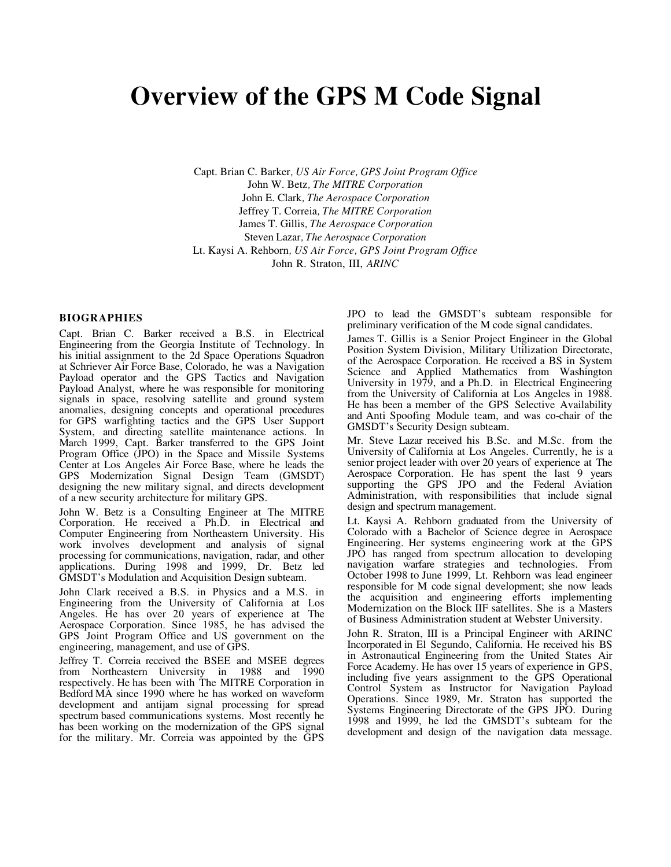# **Overview of the GPS M Code Signal**

Capt. Brian C. Barker*, US Air Force, GPS Joint Program Office* John W. Betz*, The MITRE Corporation* John E. Clark*, The Aerospace Corporation* Jeffrey T. Correia*, The MITRE Corporation* James T. Gillis*, The Aerospace Corporation* Steven Lazar*, The Aerospace Corporation* Lt. Kaysi A. Rehborn*, US Air Force, GPS Joint Program Office* John R. Straton, III, *ARINC*

#### **BIOGRAPHIES**

Capt. Brian C. Barker received a B.S. in Electrical Engineering from the Georgia Institute of Technology. In his initial assignment to the 2d Space Operations Squadron at Schriever Air Force Base, Colorado, he was a Navigation Payload operator and the GPS Tactics and Navigation Payload Analyst, where he was responsible for monitoring signals in space, resolving satellite and ground system anomalies, designing concepts and operational procedures for GPS warfighting tactics and the GPS User Support System, and directing satellite maintenance actions. In March 1999, Capt. Barker transferred to the GPS Joint Program Office (JPO) in the Space and Missile Systems Center at Los Angeles Air Force Base, where he leads the GPS Modernization Signal Design Team (GMSDT) designing the new military signal, and directs development of a new security architecture for military GPS.

John W. Betz is a Consulting Engineer at The MITRE Corporation. He received a Ph.D. in Electrical and Computer Engineering from Northeastern University. His work involves development and analysis of signal processing for communications, navigation, radar, and other applications. During 1998 and 1999, Dr. Betz led GMSDT's Modulation and Acquisition Design subteam.

John Clark received a B.S. in Physics and a M.S. in Engineering from the University of California at Los Angeles. He has over 20 years of experience at The Aerospace Corporation. Since 1985, he has advised the GPS Joint Program Office and US government on the engineering, management, and use of GPS.

Jeffrey T. Correia received the BSEE and MSEE degrees from Northeastern University in 1988 and 1990 respectively. He has been with The MITRE Corporation in Bedford MA since 1990 where he has worked on waveform development and antijam signal processing for spread spectrum based communications systems. Most recently he has been working on the modernization of the GPS signal for the military. Mr. Correia was appointed by the GPS JPO to lead the GMSDT's subteam responsible for preliminary verification of the M code signal candidates.

James T. Gillis is a Senior Project Engineer in the Global Position System Division, Military Utilization Directorate, of the Aerospace Corporation. He received a BS in System Science and Applied Mathematics from Washington University in 1979, and a Ph.D. in Electrical Engineering from the University of California at Los Angeles in 1988. He has been a member of the GPS Selective Availability and Anti Spoofing Module team, and was co-chair of the GMSDT's Security Design subteam.

Mr. Steve Lazar received his B.Sc. and M.Sc. from the University of California at Los Angeles. Currently, he is a senior project leader with over 20 years of experience at The Aerospace Corporation. He has spent the last 9 years supporting the GPS JPO and the Federal Aviation Administration, with responsibilities that include signal design and spectrum management.

Lt. Kaysi A. Rehborn graduated from the University of Colorado with a Bachelor of Science degree in Aerospace Engineering. Her systems engineering work at the GPS JPO has ranged from spectrum allocation to developing navigation warfare strategies and technologies. From October 1998 to June 1999, Lt. Rehborn was lead engineer responsible for M code signal development; she now leads the acquisition and engineering efforts implementing Modernization on the Block IIF satellites. She is a Masters of Business Administration student at Webster University.

John R. Straton, III is a Principal Engineer with ARINC Incorporated in El Segundo, California. He received his BS in Astronautical Engineering from the United States Air Force Academy. He has over 15 years of experience in GPS, including five years assignment to the GPS Operational Control System as Instructor for Navigation Payload Operations. Since 1989, Mr. Straton has supported the Systems Engineering Directorate of the GPS JPO. During 1998 and 1999, he led the GMSDT's subteam for the development and design of the navigation data message.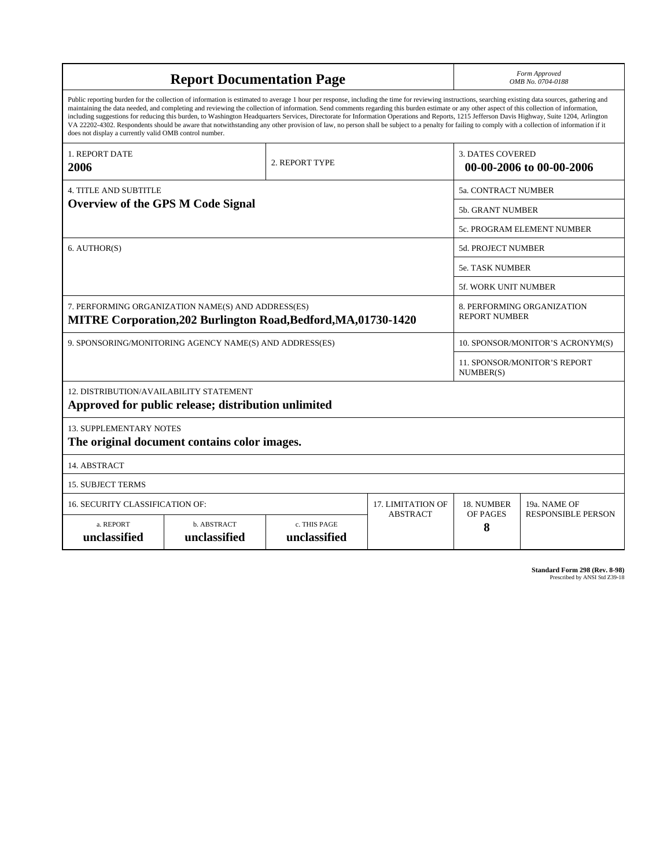| <b>Report Documentation Page</b>                                                                                                                                                                                                                                                                                                                                                                                                                                                                                                                                                                                                                                                                                                                                                                                                                                   |                             |                              |                 | Form Approved<br>OMB No. 0704-0188                  |                           |
|--------------------------------------------------------------------------------------------------------------------------------------------------------------------------------------------------------------------------------------------------------------------------------------------------------------------------------------------------------------------------------------------------------------------------------------------------------------------------------------------------------------------------------------------------------------------------------------------------------------------------------------------------------------------------------------------------------------------------------------------------------------------------------------------------------------------------------------------------------------------|-----------------------------|------------------------------|-----------------|-----------------------------------------------------|---------------------------|
| Public reporting burden for the collection of information is estimated to average 1 hour per response, including the time for reviewing instructions, searching existing data sources, gathering and<br>maintaining the data needed, and completing and reviewing the collection of information. Send comments regarding this burden estimate or any other aspect of this collection of information,<br>including suggestions for reducing this burden, to Washington Headquarters Services, Directorate for Information Operations and Reports, 1215 Jefferson Davis Highway, Suite 1204, Arlington<br>VA 22202-4302. Respondents should be aware that notwithstanding any other provision of law, no person shall be subject to a penalty for failing to comply with a collection of information if it<br>does not display a currently valid OMB control number. |                             |                              |                 |                                                     |                           |
| 1. REPORT DATE<br>2. REPORT TYPE<br>2006                                                                                                                                                                                                                                                                                                                                                                                                                                                                                                                                                                                                                                                                                                                                                                                                                           |                             |                              |                 | <b>3. DATES COVERED</b><br>00-00-2006 to 00-00-2006 |                           |
| <b>4. TITLE AND SUBTITLE</b>                                                                                                                                                                                                                                                                                                                                                                                                                                                                                                                                                                                                                                                                                                                                                                                                                                       |                             |                              |                 | <b>5a. CONTRACT NUMBER</b>                          |                           |
| <b>Overview of the GPS M Code Signal</b>                                                                                                                                                                                                                                                                                                                                                                                                                                                                                                                                                                                                                                                                                                                                                                                                                           |                             |                              |                 | <b>5b. GRANT NUMBER</b>                             |                           |
|                                                                                                                                                                                                                                                                                                                                                                                                                                                                                                                                                                                                                                                                                                                                                                                                                                                                    |                             |                              |                 | 5c. PROGRAM ELEMENT NUMBER                          |                           |
| 6. AUTHOR(S)                                                                                                                                                                                                                                                                                                                                                                                                                                                                                                                                                                                                                                                                                                                                                                                                                                                       |                             |                              |                 | <b>5d. PROJECT NUMBER</b>                           |                           |
|                                                                                                                                                                                                                                                                                                                                                                                                                                                                                                                                                                                                                                                                                                                                                                                                                                                                    |                             |                              |                 | <b>5e. TASK NUMBER</b>                              |                           |
|                                                                                                                                                                                                                                                                                                                                                                                                                                                                                                                                                                                                                                                                                                                                                                                                                                                                    |                             |                              |                 | <b>5f. WORK UNIT NUMBER</b>                         |                           |
| 7. PERFORMING ORGANIZATION NAME(S) AND ADDRESS(ES)<br>MITRE Corporation, 202 Burlington Road, Bedford, MA, 01730-1420                                                                                                                                                                                                                                                                                                                                                                                                                                                                                                                                                                                                                                                                                                                                              |                             |                              |                 | 8. PERFORMING ORGANIZATION<br><b>REPORT NUMBER</b>  |                           |
| 9. SPONSORING/MONITORING AGENCY NAME(S) AND ADDRESS(ES)                                                                                                                                                                                                                                                                                                                                                                                                                                                                                                                                                                                                                                                                                                                                                                                                            |                             |                              |                 | 10. SPONSOR/MONITOR'S ACRONYM(S)                    |                           |
|                                                                                                                                                                                                                                                                                                                                                                                                                                                                                                                                                                                                                                                                                                                                                                                                                                                                    |                             |                              |                 | <b>11. SPONSOR/MONITOR'S REPORT</b><br>NUMBER(S)    |                           |
| 12. DISTRIBUTION/AVAILABILITY STATEMENT<br>Approved for public release; distribution unlimited                                                                                                                                                                                                                                                                                                                                                                                                                                                                                                                                                                                                                                                                                                                                                                     |                             |                              |                 |                                                     |                           |
| <b>13. SUPPLEMENTARY NOTES</b><br>The original document contains color images.                                                                                                                                                                                                                                                                                                                                                                                                                                                                                                                                                                                                                                                                                                                                                                                     |                             |                              |                 |                                                     |                           |
| 14. ABSTRACT                                                                                                                                                                                                                                                                                                                                                                                                                                                                                                                                                                                                                                                                                                                                                                                                                                                       |                             |                              |                 |                                                     |                           |
| <b>15. SUBJECT TERMS</b>                                                                                                                                                                                                                                                                                                                                                                                                                                                                                                                                                                                                                                                                                                                                                                                                                                           |                             |                              |                 |                                                     |                           |
| 16. SECURITY CLASSIFICATION OF:<br><b>17. LIMITATION OF</b>                                                                                                                                                                                                                                                                                                                                                                                                                                                                                                                                                                                                                                                                                                                                                                                                        |                             |                              |                 | 18. NUMBER                                          | 19a. NAME OF              |
| a. REPORT<br>unclassified                                                                                                                                                                                                                                                                                                                                                                                                                                                                                                                                                                                                                                                                                                                                                                                                                                          | b. ABSTRACT<br>unclassified | c. THIS PAGE<br>unclassified | <b>ABSTRACT</b> | OF PAGES<br>8                                       | <b>RESPONSIBLE PERSON</b> |

**Standard Form 298 (Rev. 8-98)**<br>Prescribed by ANSI Std Z39-18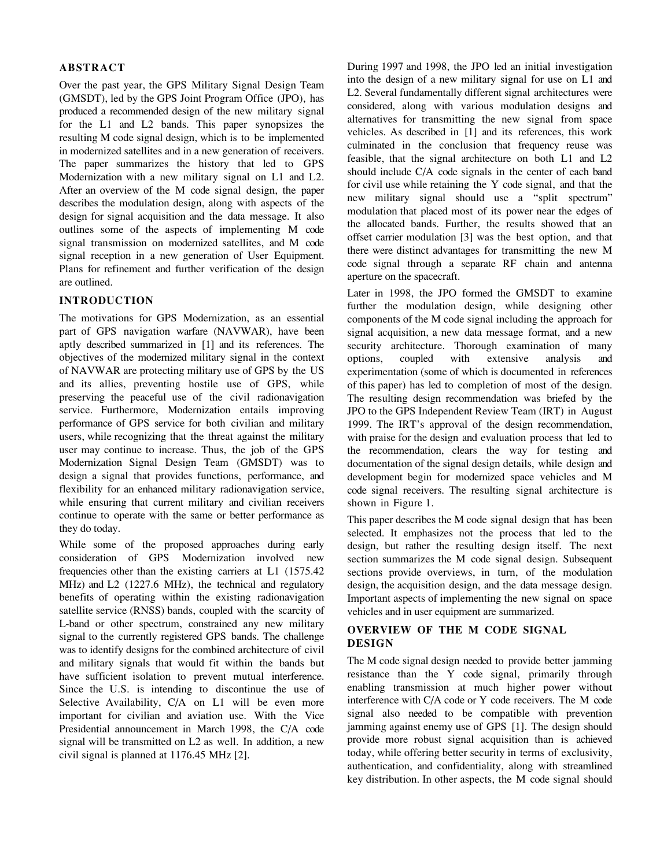## **ABSTRACT**

Over the past year, the GPS Military Signal Design Team (GMSDT), led by the GPS Joint Program Office (JPO), has produced a recommended design of the new military signal for the L1 and L2 bands. This paper synopsizes the resulting M code signal design, which is to be implemented in modernized satellites and in a new generation of receivers. The paper summarizes the history that led to GPS Modernization with a new military signal on L1 and L2. After an overview of the M code signal design, the paper describes the modulation design, along with aspects of the design for signal acquisition and the data message. It also outlines some of the aspects of implementing M code signal transmission on modernized satellites, and M code signal reception in a new generation of User Equipment. Plans for refinement and further verification of the design are outlined.

## **INTRODUCTION**

The motivations for GPS Modernization, as an essential part of GPS navigation warfare (NAVWAR), have been aptly described summarized in [1] and its references. The objectives of the modernized military signal in the context of NAVWAR are protecting military use of GPS by the US and its allies, preventing hostile use of GPS, while preserving the peaceful use of the civil radionavigation service. Furthermore, Modernization entails improving performance of GPS service for both civilian and military users, while recognizing that the threat against the military user may continue to increase. Thus, the job of the GPS Modernization Signal Design Team (GMSDT) was to design a signal that provides functions, performance, and flexibility for an enhanced military radionavigation service, while ensuring that current military and civilian receivers continue to operate with the same or better performance as they do today.

While some of the proposed approaches during early consideration of GPS Modernization involved new frequencies other than the existing carriers at L1 (1575.42 MHz) and L2 (1227.6 MHz), the technical and regulatory benefits of operating within the existing radionavigation satellite service (RNSS) bands, coupled with the scarcity of L-band or other spectrum, constrained any new military signal to the currently registered GPS bands. The challenge was to identify designs for the combined architecture of civil and military signals that would fit within the bands but have sufficient isolation to prevent mutual interference. Since the U.S. is intending to discontinue the use of Selective Availability, C/A on L1 will be even more important for civilian and aviation use. With the Vice Presidential announcement in March 1998, the C/A code signal will be transmitted on L2 as well. In addition, a new civil signal is planned at 1176.45 MHz [2].

During 1997 and 1998, the JPO led an initial investigation into the design of a new military signal for use on L1 and L2. Several fundamentally different signal architectures were considered, along with various modulation designs and alternatives for transmitting the new signal from space vehicles. As described in [1] and its references, this work culminated in the conclusion that frequency reuse was feasible, that the signal architecture on both L1 and L2 should include C/A code signals in the center of each band for civil use while retaining the Y code signal, and that the new military signal should use a "split spectrum" modulation that placed most of its power near the edges of the allocated bands. Further, the results showed that an offset carrier modulation [3] was the best option, and that there were distinct advantages for transmitting the new M code signal through a separate RF chain and antenna aperture on the spacecraft.

Later in 1998, the JPO formed the GMSDT to examine further the modulation design, while designing other components of the M code signal including the approach for signal acquisition, a new data message format, and a new security architecture. Thorough examination of many options, coupled with extensive analysis and experimentation (some of which is documented in references of this paper) has led to completion of most of the design. The resulting design recommendation was briefed by the JPO to the GPS Independent Review Team (IRT) in August 1999. The IRT's approval of the design recommendation, with praise for the design and evaluation process that led to the recommendation, clears the way for testing and documentation of the signal design details, while design and development begin for modernized space vehicles and M code signal receivers. The resulting signal architecture is shown in Figure 1.

This paper describes the M code signal design that has been selected. It emphasizes not the process that led to the design, but rather the resulting design itself. The next section summarizes the M code signal design. Subsequent sections provide overviews, in turn, of the modulation design, the acquisition design, and the data message design. Important aspects of implementing the new signal on space vehicles and in user equipment are summarized.

## **OVERVIEW OF THE M CODE SIGNAL DESIGN**

The M code signal design needed to provide better jamming resistance than the Y code signal, primarily through enabling transmission at much higher power without interference with C/A code or Y code receivers. The M code signal also needed to be compatible with prevention jamming against enemy use of GPS [1]. The design should provide more robust signal acquisition than is achieved today, while offering better security in terms of exclusivity, authentication, and confidentiality, along with streamlined key distribution. In other aspects, the M code signal should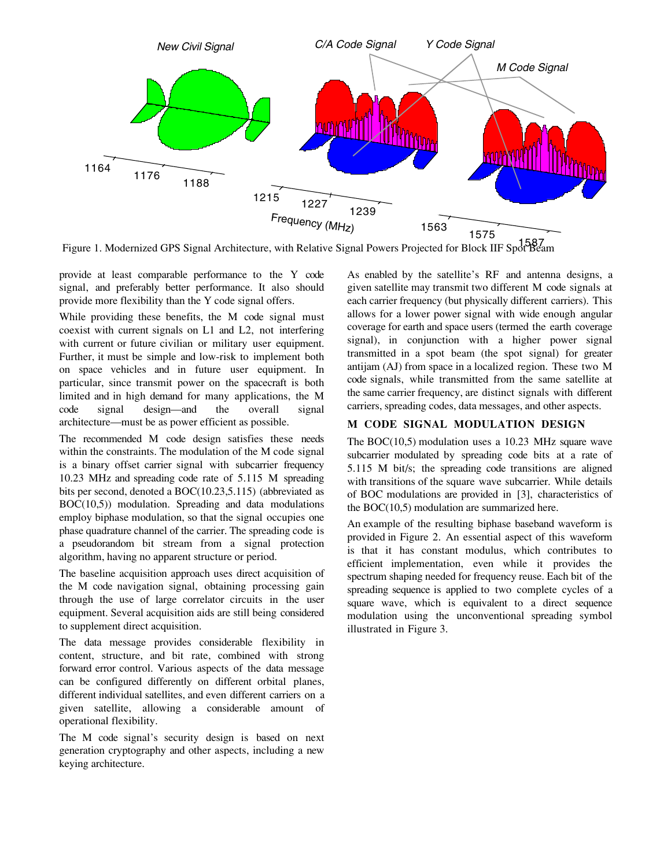

provide at least comparable performance to the Y code signal, and preferably better performance. It also should provide more flexibility than the Y code signal offers.

While providing these benefits, the M code signal must coexist with current signals on L1 and L2, not interfering with current or future civilian or military user equipment. Further, it must be simple and low-risk to implement both on space vehicles and in future user equipment. In particular, since transmit power on the spacecraft is both limited and in high demand for many applications, the M code signal design—and the overall signal architecture—must be as power efficient as possible.

The recommended M code design satisfies these needs within the constraints. The modulation of the M code signal is a binary offset carrier signal with subcarrier frequency 10.23 MHz and spreading code rate of 5.115 M spreading bits per second, denoted a BOC(10.23,5.115) (abbreviated as BOC(10,5)) modulation. Spreading and data modulations employ biphase modulation, so that the signal occupies one phase quadrature channel of the carrier. The spreading code is a pseudorandom bit stream from a signal protection algorithm, having no apparent structure or period.

The baseline acquisition approach uses direct acquisition of the M code navigation signal, obtaining processing gain through the use of large correlator circuits in the user equipment. Several acquisition aids are still being considered to supplement direct acquisition.

The data message provides considerable flexibility in content, structure, and bit rate, combined with strong forward error control. Various aspects of the data message can be configured differently on different orbital planes, different individual satellites, and even different carriers on a given satellite, allowing a considerable amount of operational flexibility.

The M code signal's security design is based on next generation cryptography and other aspects, including a new keying architecture.

As enabled by the satellite's RF and antenna designs, a given satellite may transmit two different M code signals at each carrier frequency (but physically different carriers). This allows for a lower power signal with wide enough angular coverage for earth and space users (termed the earth coverage signal), in conjunction with a higher power signal transmitted in a spot beam (the spot signal) for greater antijam (AJ) from space in a localized region. These two M code signals, while transmitted from the same satellite at the same carrier frequency, are distinct signals with different carriers, spreading codes, data messages, and other aspects.

## **M CODE SIGNAL MODULATION DESIGN**

The BOC(10,5) modulation uses a 10.23 MHz square wave subcarrier modulated by spreading code bits at a rate of 5.115 M bit/s; the spreading code transitions are aligned with transitions of the square wave subcarrier. While details of BOC modulations are provided in [3], characteristics of the BOC(10,5) modulation are summarized here.

An example of the resulting biphase baseband waveform is provided in Figure 2. An essential aspect of this waveform is that it has constant modulus, which contributes to efficient implementation, even while it provides the spectrum shaping needed for frequency reuse. Each bit of the spreading sequence is applied to two complete cycles of a square wave, which is equivalent to a direct sequence modulation using the unconventional spreading symbol illustrated in Figure 3.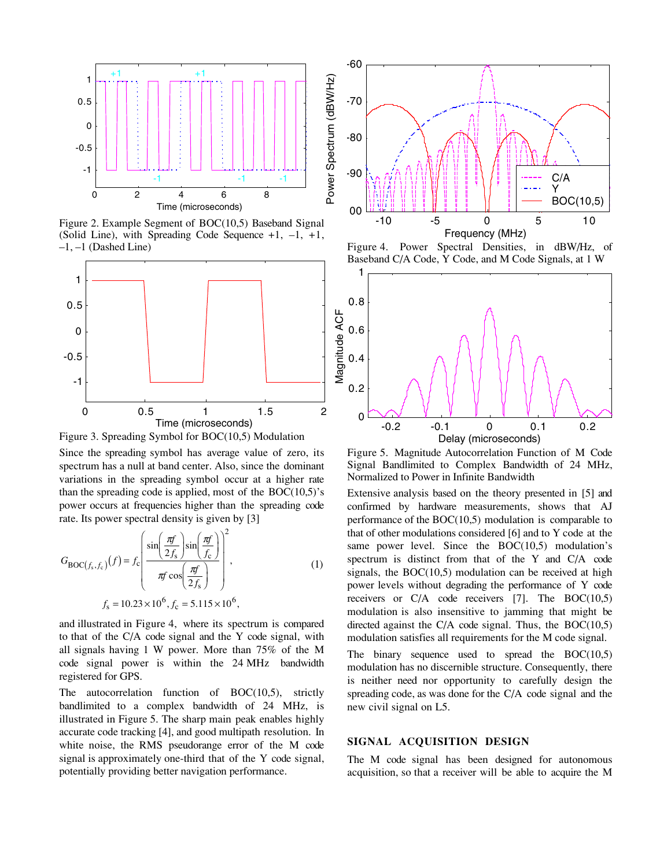

Figure 2. Example Segment of BOC(10,5) Baseband Signal (Solid Line), with Spreading Code Sequence +1, –1, +1,  $-1$ ,  $-1$  (Dashed Line)



Figure 3. Spreading Symbol for BOC(10,5) Modulation

Since the spreading symbol has average value of zero, its spectrum has a null at band center. Also, since the dominant variations in the spreading symbol occur at a higher rate than the spreading code is applied, most of the  $BOC(10,5)$ 's power occurs at frequencies higher than the spreading code rate. Its power spectral density is given by [3]

$$
G_{\text{BOC}(f_s, f_c)}(f) = f_c \left( \frac{\sin \left( \frac{\pi f}{2f_s} \right) \sin \left( \frac{\pi f}{f_c} \right)}{\pi f \cos \left( \frac{\pi f}{2f_s} \right)} \right)^2,
$$
\n
$$
f_s = 10.23 \times 10^6, f_c = 5.115 \times 10^6,
$$
\n(1)

and illustrated in Figure 4, where its spectrum is compared to that of the C/A code signal and the Y code signal, with all signals having 1 W power. More than 75% of the M code signal power is within the 24 MHz bandwidth registered for GPS.

The autocorrelation function of BOC(10,5), strictly bandlimited to a complex bandwidth of 24 MHz, is illustrated in Figure 5. The sharp main peak enables highly accurate code tracking [4], and good multipath resolution. In white noise, the RMS pseudorange error of the M code signal is approximately one-third that of the Y code signal, potentially providing better navigation performance.







Figure 5. Magnitude Autocorrelation Function of M Code Signal Bandlimited to Complex Bandwidth of 24 MHz, Normalized to Power in Infinite Bandwidth

Extensive analysis based on the theory presented in [5] and confirmed by hardware measurements, shows that AJ performance of the BOC(10,5) modulation is comparable to that of other modulations considered [6] and to Y code at the same power level. Since the BOC(10,5) modulation's spectrum is distinct from that of the Y and C/A code signals, the BOC(10,5) modulation can be received at high power levels without degrading the performance of Y code receivers or C/A code receivers [7]. The BOC(10,5) modulation is also insensitive to jamming that might be directed against the  $C/A$  code signal. Thus, the BOC(10,5) modulation satisfies all requirements for the M code signal.

The binary sequence used to spread the  $BOC(10,5)$ modulation has no discernible structure. Consequently, there is neither need nor opportunity to carefully design the spreading code, as was done for the C/A code signal and the new civil signal on L5.

#### **SIGNAL ACQUISITION DESIGN**

The M code signal has been designed for autonomous acquisition, so that a receiver will be able to acquire the M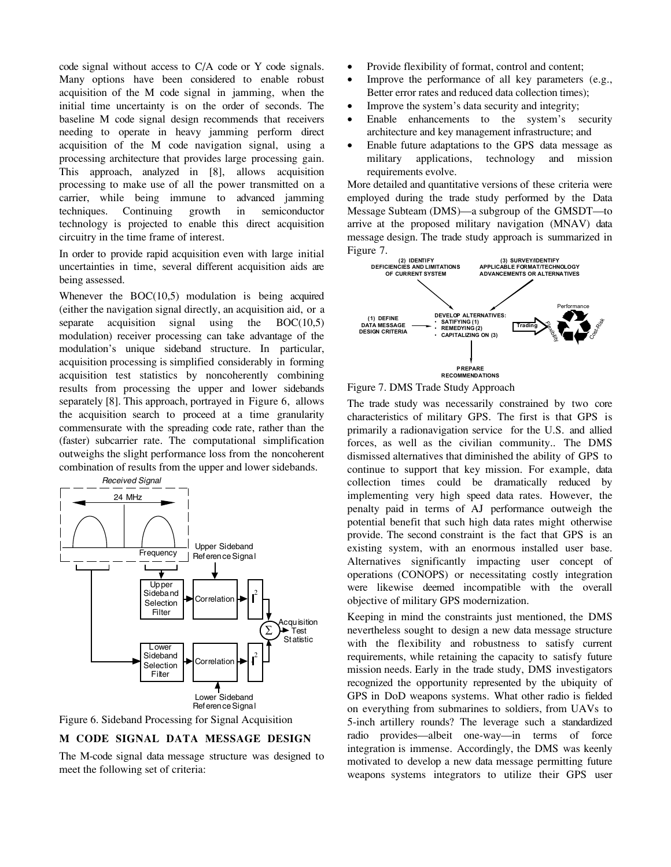code signal without access to C/A code or Y code signals. Many options have been considered to enable robust acquisition of the M code signal in jamming, when the initial time uncertainty is on the order of seconds. The baseline M code signal design recommends that receivers needing to operate in heavy jamming perform direct acquisition of the M code navigation signal, using a processing architecture that provides large processing gain. This approach, analyzed in [8], allows acquisition processing to make use of all the power transmitted on a carrier, while being immune to advanced jamming techniques. Continuing growth in semiconductor technology is projected to enable this direct acquisition circuitry in the time frame of interest.

In order to provide rapid acquisition even with large initial uncertainties in time, several different acquisition aids are being assessed.

Whenever the BOC(10,5) modulation is being acquired (either the navigation signal directly, an acquisition aid, or a separate acquisition signal using the  $BOC(10,5)$ modulation) receiver processing can take advantage of the modulation's unique sideband structure. In particular, acquisition processing is simplified considerably in forming acquisition test statistics by noncoherently combining results from processing the upper and lower sidebands separately [8]. This approach, portrayed in Figure 6, allows the acquisition search to proceed at a time granularity commensurate with the spreading code rate, rather than the (faster) subcarrier rate. The computational simplification outweighs the slight performance loss from the noncoherent combination of results from the upper and lower sidebands.





#### **M CODE SIGNAL DATA MESSAGE DESIGN**

The M-code signal data message structure was designed to meet the following set of criteria:

- Provide flexibility of format, control and content;
- Improve the performance of all key parameters (e.g., Better error rates and reduced data collection times);
- Improve the system's data security and integrity;
- Enable enhancements to the system's security architecture and key management infrastructure; and
- Enable future adaptations to the GPS data message as military applications, technology and mission requirements evolve.

More detailed and quantitative versions of these criteria were employed during the trade study performed by the Data Message Subteam (DMS)—a subgroup of the GMSDT—to arrive at the proposed military navigation (MNAV) data message design. The trade study approach is summarized in Figure 7.





The trade study was necessarily constrained by two core characteristics of military GPS. The first is that GPS is primarily a radionavigation service for the U.S. and allied forces, as well as the civilian community.. The DMS dismissed alternatives that diminished the ability of GPS to continue to support that key mission. For example, data collection times could be dramatically reduced by implementing very high speed data rates. However, the penalty paid in terms of AJ performance outweigh the potential benefit that such high data rates might otherwise provide. The second constraint is the fact that GPS is an existing system, with an enormous installed user base. Alternatives significantly impacting user concept of operations (CONOPS) or necessitating costly integration were likewise deemed incompatible with the overall objective of military GPS modernization.

Keeping in mind the constraints just mentioned, the DMS nevertheless sought to design a new data message structure with the flexibility and robustness to satisfy current requirements, while retaining the capacity to satisfy future mission needs. Early in the trade study, DMS investigators recognized the opportunity represented by the ubiquity of GPS in DoD weapons systems. What other radio is fielded on everything from submarines to soldiers, from UAVs to 5-inch artillery rounds? The leverage such a standardized radio provides—albeit one-way—in terms of force integration is immense. Accordingly, the DMS was keenly motivated to develop a new data message permitting future weapons systems integrators to utilize their GPS user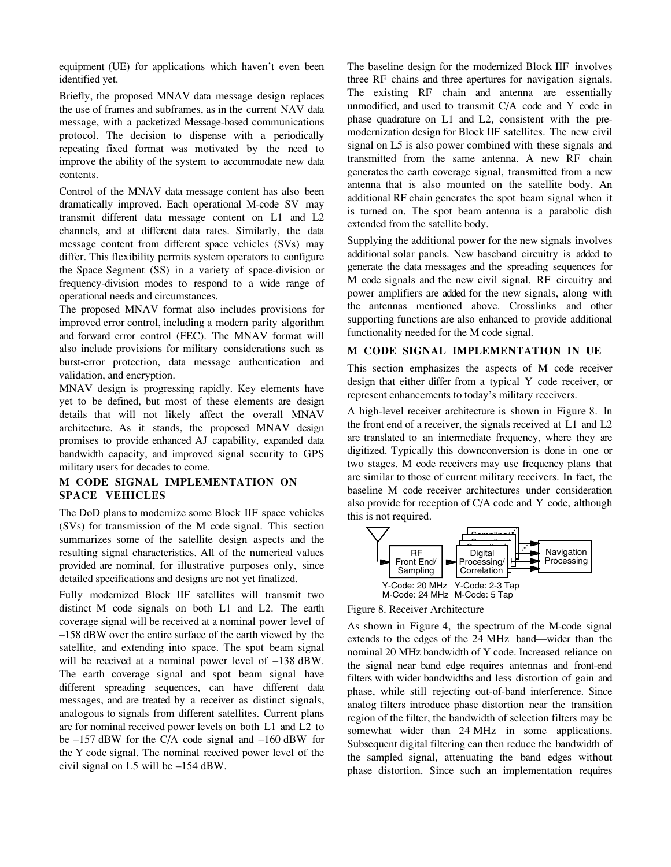equipment (UE) for applications which haven't even been identified yet.

Briefly, the proposed MNAV data message design replaces the use of frames and subframes, as in the current NAV data message, with a packetized Message-based communications protocol. The decision to dispense with a periodically repeating fixed format was motivated by the need to improve the ability of the system to accommodate new data contents.

Control of the MNAV data message content has also been dramatically improved. Each operational M-code SV may transmit different data message content on L1 and L2 channels, and at different data rates. Similarly, the data message content from different space vehicles (SVs) may differ. This flexibility permits system operators to configure the Space Segment (SS) in a variety of space-division or frequency-division modes to respond to a wide range of operational needs and circumstances.

The proposed MNAV format also includes provisions for improved error control, including a modern parity algorithm and forward error control (FEC). The MNAV format will also include provisions for military considerations such as burst-error protection, data message authentication and validation, and encryption.

MNAV design is progressing rapidly. Key elements have yet to be defined, but most of these elements are design details that will not likely affect the overall MNAV architecture. As it stands, the proposed MNAV design promises to provide enhanced AJ capability, expanded data bandwidth capacity, and improved signal security to GPS military users for decades to come.

## **M CODE SIGNAL IMPLEMENTATION ON SPACE VEHICLES**

The DoD plans to modernize some Block IIF space vehicles (SVs) for transmission of the M code signal. This section summarizes some of the satellite design aspects and the resulting signal characteristics. All of the numerical values provided are nominal, for illustrative purposes only, since detailed specifications and designs are not yet finalized.

Fully modernized Block IIF satellites will transmit two distinct M code signals on both L1 and L2. The earth coverage signal will be received at a nominal power level of –158 dBW over the entire surface of the earth viewed by the satellite, and extending into space. The spot beam signal will be received at a nominal power level of  $-138$  dBW. The earth coverage signal and spot beam signal have different spreading sequences, can have different data messages, and are treated by a receiver as distinct signals, analogous to signals from different satellites. Current plans are for nominal received power levels on both L1 and L2 to be –157 dBW for the C/A code signal and –160 dBW for the Y code signal. The nominal received power level of the civil signal on L5 will be –154 dBW.

The baseline design for the modernized Block IIF involves three RF chains and three apertures for navigation signals. The existing RF chain and antenna are essentially unmodified, and used to transmit C/A code and Y code in phase quadrature on L1 and L2, consistent with the premodernization design for Block IIF satellites. The new civil signal on L5 is also power combined with these signals and transmitted from the same antenna. A new RF chain generates the earth coverage signal, transmitted from a new antenna that is also mounted on the satellite body. An additional RF chain generates the spot beam signal when it is turned on. The spot beam antenna is a parabolic dish extended from the satellite body.

Supplying the additional power for the new signals involves additional solar panels. New baseband circuitry is added to generate the data messages and the spreading sequences for M code signals and the new civil signal. RF circuitry and power amplifiers are added for the new signals, along with the antennas mentioned above. Crosslinks and other supporting functions are also enhanced to provide additional functionality needed for the M code signal.

## **M CODE SIGNAL IMPLEMENTATION IN UE**

This section emphasizes the aspects of M code receiver design that either differ from a typical Y code receiver, or represent enhancements to today's military receivers.

A high-level receiver architecture is shown in Figure 8. In the front end of a receiver, the signals received at L1 and L2 are translated to an intermediate frequency, where they are digitized. Typically this downconversion is done in one or two stages. M code receivers may use frequency plans that are similar to those of current military receivers. In fact, the baseline M code receiver architectures under consideration also provide for reception of C/A code and Y code, although this is not required.





As shown in Figure 4, the spectrum of the M-code signal extends to the edges of the 24 MHz band—wider than the nominal 20 MHz bandwidth of Y code. Increased reliance on the signal near band edge requires antennas and front-end filters with wider bandwidths and less distortion of gain and phase, while still rejecting out-of-band interference. Since analog filters introduce phase distortion near the transition region of the filter, the bandwidth of selection filters may be somewhat wider than 24 MHz in some applications. Subsequent digital filtering can then reduce the bandwidth of the sampled signal, attenuating the band edges without phase distortion. Since such an implementation requires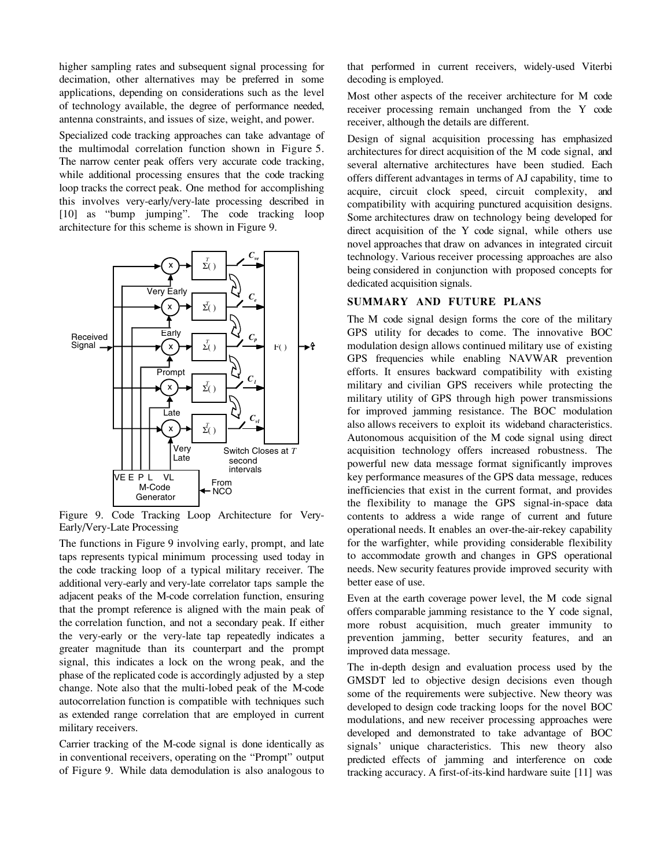higher sampling rates and subsequent signal processing for decimation, other alternatives may be preferred in some applications, depending on considerations such as the level of technology available, the degree of performance needed, antenna constraints, and issues of size, weight, and power.

Specialized code tracking approaches can take advantage of the multimodal correlation function shown in Figure 5. The narrow center peak offers very accurate code tracking, while additional processing ensures that the code tracking loop tracks the correct peak. One method for accomplishing this involves very-early/very-late processing described in [10] as "bump jumping". The code tracking loop architecture for this scheme is shown in Figure 9.



Figure 9. Code Tracking Loop Architecture for Very-Early/Very-Late Processing

The functions in Figure 9 involving early, prompt, and late taps represents typical minimum processing used today in the code tracking loop of a typical military receiver. The additional very-early and very-late correlator taps sample the adjacent peaks of the M-code correlation function, ensuring that the prompt reference is aligned with the main peak of the correlation function, and not a secondary peak. If either the very-early or the very-late tap repeatedly indicates a greater magnitude than its counterpart and the prompt signal, this indicates a lock on the wrong peak, and the phase of the replicated code is accordingly adjusted by a step change. Note also that the multi-lobed peak of the M-code autocorrelation function is compatible with techniques such as extended range correlation that are employed in current military receivers.

Carrier tracking of the M-code signal is done identically as in conventional receivers, operating on the "Prompt" output of Figure 9. While data demodulation is also analogous to

that performed in current receivers, widely-used Viterbi decoding is employed.

Most other aspects of the receiver architecture for M code receiver processing remain unchanged from the Y code receiver, although the details are different.

Design of signal acquisition processing has emphasized architectures for direct acquisition of the M code signal, and several alternative architectures have been studied. Each offers different advantages in terms of AJ capability, time to acquire, circuit clock speed, circuit complexity, and compatibility with acquiring punctured acquisition designs. Some architectures draw on technology being developed for direct acquisition of the Y code signal, while others use novel approaches that draw on advances in integrated circuit technology. Various receiver processing approaches are also being considered in conjunction with proposed concepts for dedicated acquisition signals.

## **SUMMARY AND FUTURE PLANS**

The M code signal design forms the core of the military GPS utility for decades to come. The innovative BOC modulation design allows continued military use of existing GPS frequencies while enabling NAVWAR prevention efforts. It ensures backward compatibility with existing military and civilian GPS receivers while protecting the military utility of GPS through high power transmissions for improved jamming resistance. The BOC modulation also allows receivers to exploit its wideband characteristics. Autonomous acquisition of the M code signal using direct acquisition technology offers increased robustness. The powerful new data message format significantly improves key performance measures of the GPS data message, reduces inefficiencies that exist in the current format, and provides the flexibility to manage the GPS signal-in-space data contents to address a wide range of current and future operational needs. It enables an over-the-air-rekey capability for the warfighter, while providing considerable flexibility to accommodate growth and changes in GPS operational needs. New security features provide improved security with better ease of use.

Even at the earth coverage power level, the M code signal offers comparable jamming resistance to the Y code signal, more robust acquisition, much greater immunity to prevention jamming, better security features, and an improved data message.

The in-depth design and evaluation process used by the GMSDT led to objective design decisions even though some of the requirements were subjective. New theory was developed to design code tracking loops for the novel BOC modulations, and new receiver processing approaches were developed and demonstrated to take advantage of BOC signals' unique characteristics. This new theory also predicted effects of jamming and interference on code tracking accuracy. A first-of-its-kind hardware suite [11] was